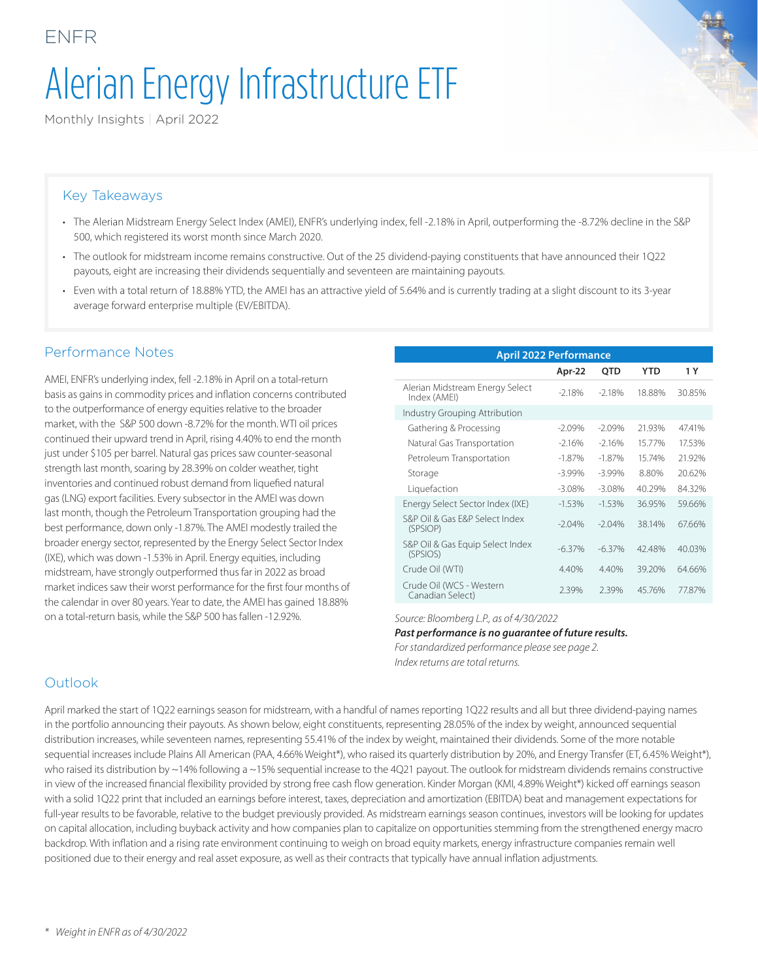# Alerian Energy Infrastructure ETF

Monthly Insights | April 2022

#### Key Takeaways

ENFR

- The Alerian Midstream Energy Select Index (AMEI), ENFR's underlying index, fell -2.18% in April, outperforming the -8.72% decline in the S&P 500, which registered its worst month since March 2020.
- The outlook for midstream income remains constructive. Out of the 25 dividend-paying constituents that have announced their 1Q22 payouts, eight are increasing their dividends sequentially and seventeen are maintaining payouts.
- Even with a total return of 18.88% YTD, the AMEI has an attractive yield of 5.64% and is currently trading at a slight discount to its 3-year average forward enterprise multiple (EV/EBITDA).

#### Performance Notes

AMEI, ENFR's underlying index, fell -2.18% in April on a total-return basis as gains in commodity prices and inflation concerns contributed to the outperformance of energy equities relative to the broader market, with the S&P 500 down -8.72% for the month. WTI oil prices continued their upward trend in April, rising 4.40% to end the month just under \$105 per barrel. Natural gas prices saw counter-seasonal strength last month, soaring by 28.39% on colder weather, tight inventories and continued robust demand from liquefied natural gas (LNG) export facilities. Every subsector in the AMEI was down last month, though the Petroleum Transportation grouping had the best performance, down only -1.87%. The AMEI modestly trailed the broader energy sector, represented by the Energy Select Sector Index (IXE), which was down -1.53% in April. Energy equities, including midstream, have strongly outperformed thus far in 2022 as broad market indices saw their worst performance for the first four months of the calendar in over 80 years. Year to date, the AMEI has gained 18.88% on a total-return basis, while the S&P 500 has fallen -12.92%. *Source: Bloomberg L.P., as of 4/30/2022*

| <b>April 2022 Performance</b>                   |           |           |        |        |  |  |
|-------------------------------------------------|-----------|-----------|--------|--------|--|--|
|                                                 | Apr-22    | QTD       | YTD    | 1 Y    |  |  |
| Alerian Midstream Energy Select<br>Index (AMEI) | $-2.18%$  | $-2.18%$  | 18.88% | 30.85% |  |  |
| Industry Grouping Attribution                   |           |           |        |        |  |  |
| Gathering & Processing                          | $-2.09%$  | $-2.09%$  | 21.93% | 47.41% |  |  |
| Natural Gas Transportation                      | $-2.16%$  | $-2.16%$  | 15.77% | 17.53% |  |  |
| Petroleum Transportation                        | $-1.87\%$ | $-1.87%$  | 15.74% | 21.92% |  |  |
| Storage                                         | $-3.99\%$ | $-3.99%$  | 8.80%  | 20.62% |  |  |
| Liquefaction                                    | $-3.08\%$ | $-3.08\%$ | 40.29% | 84.32% |  |  |
| Energy Select Sector Index (IXE)                | $-1.53%$  | $-1.53%$  | 36.95% | 59.66% |  |  |
| S&P Oil & Gas E&P Select Index<br>(SPSIOP)      | $-2.04%$  | $-2.04%$  | 38.14% | 67.66% |  |  |
| S&P Oil & Gas Equip Select Index<br>(SPSIOS)    | $-6.37%$  | $-6.37%$  | 4248%  | 40.03% |  |  |
| Crude Oil (WTI)                                 | 4.40%     | 4.40%     | 39.20% | 64.66% |  |  |
| Crude Oil (WCS - Western<br>Canadian Select)    | 2.39%     | 2.39%     | 45.76% | 77.87% |  |  |

#### *Past performance is no guarantee of future results.*

*For standardized performance please see page 2. Index returns are total returns.*

#### Outlook

April marked the start of 1Q22 earnings season for midstream, with a handful of names reporting 1Q22 results and all but three dividend-paying names in the portfolio announcing their payouts. As shown below, eight constituents, representing 28.05% of the index by weight, announced sequential distribution increases, while seventeen names, representing 55.41% of the index by weight, maintained their dividends. Some of the more notable sequential increases include Plains All American (PAA, 4.66% Weight\*), who raised its quarterly distribution by 20%, and Energy Transfer (ET, 6.45% Weight\*), who raised its distribution by ~14% following a ~15% sequential increase to the 4Q21 payout. The outlook for midstream dividends remains constructive in view of the increased financial flexibility provided by strong free cash flow generation. Kinder Morgan (KMI, 4.89% Weight\*) kicked off earnings season with a solid 1Q22 print that included an earnings before interest, taxes, depreciation and amortization (EBITDA) beat and management expectations for full-year results to be favorable, relative to the budget previously provided. As midstream earnings season continues, investors will be looking for updates on capital allocation, including buyback activity and how companies plan to capitalize on opportunities stemming from the strengthened energy macro backdrop. With inflation and a rising rate environment continuing to weigh on broad equity markets, energy infrastructure companies remain well positioned due to their energy and real asset exposure, as well as their contracts that typically have annual inflation adjustments.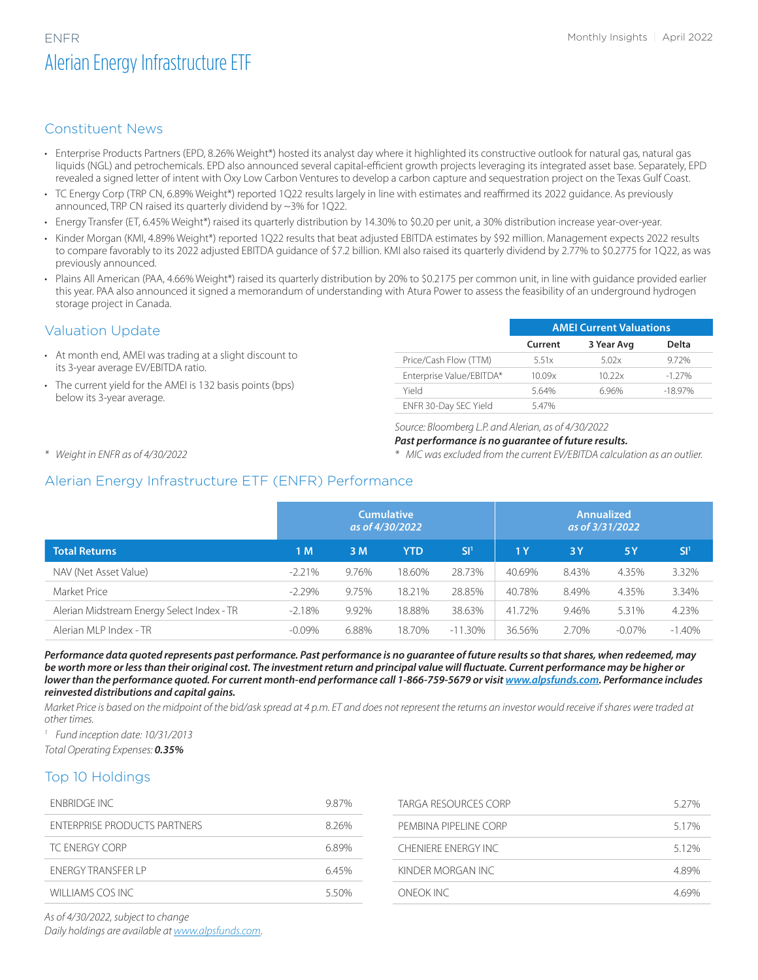## ENFR Monthly Insights | April 2022 Alerian Energy Infrastructure ETF

### Constituent News

- Enterprise Products Partners (EPD, 8.26% Weight\*) hosted its analyst day where it highlighted its constructive outlook for natural gas, natural gas liquids (NGL) and petrochemicals. EPD also announced several capital-efficient growth projects leveraging its integrated asset base. Separately, EPD revealed a signed letter of intent with Oxy Low Carbon Ventures to develop a carbon capture and sequestration project on the Texas Gulf Coast.
- TC Energy Corp (TRP CN, 6.89% Weight\*) reported 1Q22 results largely in line with estimates and reaffirmed its 2022 guidance. As previously announced, TRP CN raised its quarterly dividend by ~3% for 1Q22.
- Energy Transfer (ET, 6.45% Weight\*) raised its quarterly distribution by 14.30% to \$0.20 per unit, a 30% distribution increase year-over-year.
- Kinder Morgan (KMI, 4.89% Weight\*) reported 1Q22 results that beat adjusted EBITDA estimates by \$92 million. Management expects 2022 results to compare favorably to its 2022 adjusted EBITDA guidance of \$7.2 billion. KMI also raised its quarterly dividend by 2.77% to \$0.2775 for 1Q22, as was previously announced.
- Plains All American (PAA, 4.66% Weight\*) raised its quarterly distribution by 20% to \$0.2175 per common unit, in line with quidance provided earlier this year. PAA also announced it signed a memorandum of understanding with Atura Power to assess the feasibility of an underground hydrogen storage project in Canada.

#### Valuation Update

- At month end, AMEI was trading at a slight discount to its 3-year average EV/EBITDA ratio.
- The current yield for the AMEI is 132 basis points (bps) below its 3-year average.

|                          | <b>AMEL Current Valuations</b> |            |           |  |  |
|--------------------------|--------------------------------|------------|-----------|--|--|
|                          | Current                        | 3 Year Avg | Delta     |  |  |
| Price/Cash Flow (TTM)    | 5.51x                          | 5.02x      | 9.72%     |  |  |
| Enterprise Value/EBITDA* | 10.09x                         | 10.22x     | $-127\%$  |  |  |
| Yield                    | 564%                           | 696%       | $-1897\%$ |  |  |
| ENFR 30-Day SEC Yield    | 547%                           |            |           |  |  |

*Source: Bloomberg L.P. and Alerian, as of 4/30/2022*

#### *Past performance is no guarantee of future results.*

*\* Weight in ENFR as of 4/30/2022*

*\* MIC was excluded from the current EV/EBITDA calculation as an outlier.*

#### Alerian Energy Infrastructure ETF (ENFR) Performance

|                                            | <b>Cumulative</b><br>as of 4/30/2022 |       |        | <b>Annualized</b><br>as of 3/31/2022 |        |       |           |                 |
|--------------------------------------------|--------------------------------------|-------|--------|--------------------------------------|--------|-------|-----------|-----------------|
| <b>Total Returns</b>                       | 1 M                                  | 3 M   | YTD    | SI <sup>1</sup>                      | 1 Y    | 3Y    | 15 Y      | SI <sup>1</sup> |
| NAV (Net Asset Value)                      | $-2.21\%$                            | 9.76% | 18.60% | 28.73%                               | 40.69% | 8.43% | 4.35%     | 3.32%           |
| Market Price                               | $-2.29%$                             | 9.75% | 18.21% | 28.85%                               | 40.78% | 8.49% | 4.35%     | 3.34%           |
| Alerian Midstream Energy Select Index - TR | $-2.18%$                             | 9.92% | 18.88% | 38.63%                               | 41.72% | 9.46% | 5.31%     | 4.23%           |
| Alerian MLP Index - TR                     | $-0.09\%$                            | 6.88% | 18.70% | $-11.30\%$                           | 36.56% | 2.70% | $-0.07\%$ | $-1.40\%$       |

*Performance data quoted represents past performance. Past performance is no guarantee of future results so that shares, when redeemed, may be worth more or less than their original cost. The investment return and principal value will fluctuate. Current performance may be higher or*  lower than the performance quoted. For current month-end performance call 1-866-759-5679 or visit *www.alpsfunds.com.* Performance includes *reinvested distributions and capital gains.*

*Market Price is based on the midpoint of the bid/ask spread at 4 p.m. ET and does not represent the returns an investor would receive if shares were traded at other times.*

*<sup>1</sup> Fund inception date: 10/31/2013*

*Total Operating Expenses: 0.35%*

#### Top 10 Holdings

| <b>ENBRIDGE INC</b>                 | 9.87% | TARGA RESOURCES CORP  | 5.27% |
|-------------------------------------|-------|-----------------------|-------|
| <b>ENTERPRISE PRODUCTS PARTNERS</b> | 826%  | PEMBINA PIPELINE CORP | 517%  |
| TC ENERGY CORP                      | 6.89% | CHENIERE ENERGY INC.  | 5.12% |
| <b>FNFRGY TRANSFFR I P</b>          | 6.45% | KINDER MORGAN INC     | 489%  |
| WILLIAMS COS INC                    | 550%  | ONFOK INC             | 469%  |

*As of 4/30/2022, subject to change Daily holdings are available at [www.alpsfunds.com.](https://www.alpsfunds.com/)*